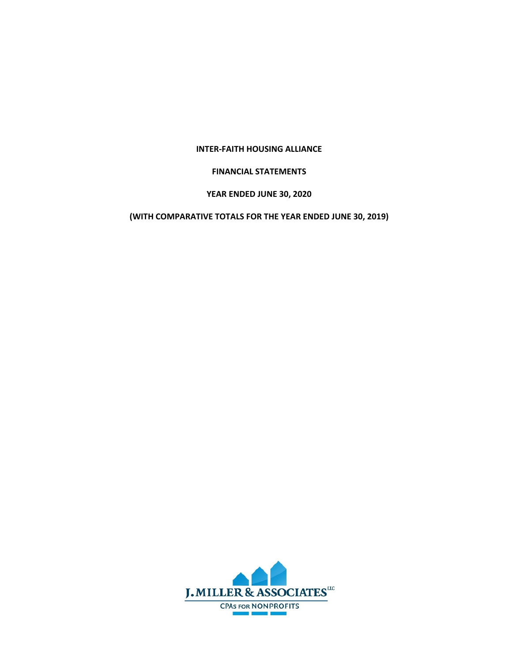### **INTER‐FAITH HOUSING ALLIANCE**

### **FINANCIAL STATEMENTS**

# **YEAR ENDED JUNE 30, 2020**

## **(WITH COMPARATIVE TOTALS FOR THE YEAR ENDED JUNE 30, 2019)**

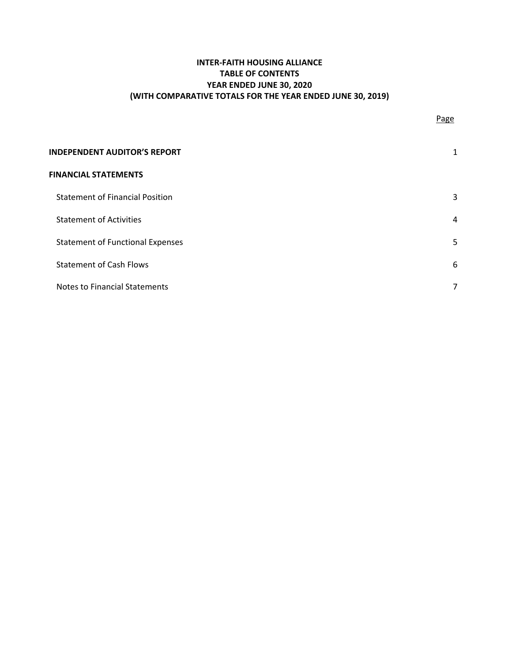## **INTER‐FAITH HOUSING ALLIANCE TABLE OF CONTENTS YEAR ENDED JUNE 30, 2020 (WITH COMPARATIVE TOTALS FOR THE YEAR ENDED JUNE 30, 2019)**

| Page |
|------|
|      |

| <b>INDEPENDENT AUDITOR'S REPORT</b>     |   |
|-----------------------------------------|---|
| <b>FINANCIAL STATEMENTS</b>             |   |
| <b>Statement of Financial Position</b>  |   |
| <b>Statement of Activities</b>          | 4 |
| <b>Statement of Functional Expenses</b> | 5 |
| <b>Statement of Cash Flows</b>          | 6 |
| <b>Notes to Financial Statements</b>    |   |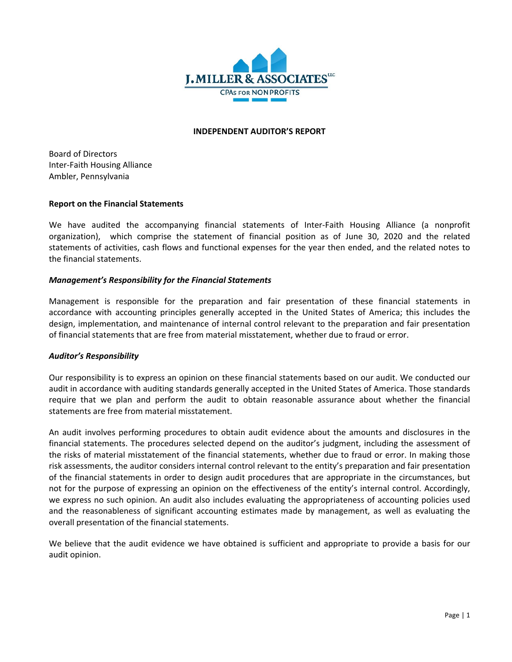

#### **INDEPENDENT AUDITOR'S REPORT**

Board of Directors Inter‐Faith Housing Alliance Ambler, Pennsylvania

### **Report on the Financial Statements**

We have audited the accompanying financial statements of Inter-Faith Housing Alliance (a nonprofit organization), which comprise the statement of financial position as of June 30, 2020 and the related statements of activities, cash flows and functional expenses for the year then ended, and the related notes to the financial statements.

### *Management's Responsibility for the Financial Statements*

Management is responsible for the preparation and fair presentation of these financial statements in accordance with accounting principles generally accepted in the United States of America; this includes the design, implementation, and maintenance of internal control relevant to the preparation and fair presentation of financial statements that are free from material misstatement, whether due to fraud or error.

## *Auditor's Responsibility*

Our responsibility is to express an opinion on these financial statements based on our audit. We conducted our audit in accordance with auditing standards generally accepted in the United States of America. Those standards require that we plan and perform the audit to obtain reasonable assurance about whether the financial statements are free from material misstatement.

An audit involves performing procedures to obtain audit evidence about the amounts and disclosures in the financial statements. The procedures selected depend on the auditor's judgment, including the assessment of the risks of material misstatement of the financial statements, whether due to fraud or error. In making those risk assessments, the auditor considers internal control relevant to the entity's preparation and fair presentation of the financial statements in order to design audit procedures that are appropriate in the circumstances, but not for the purpose of expressing an opinion on the effectiveness of the entity's internal control. Accordingly, we express no such opinion. An audit also includes evaluating the appropriateness of accounting policies used and the reasonableness of significant accounting estimates made by management, as well as evaluating the overall presentation of the financial statements.

We believe that the audit evidence we have obtained is sufficient and appropriate to provide a basis for our audit opinion.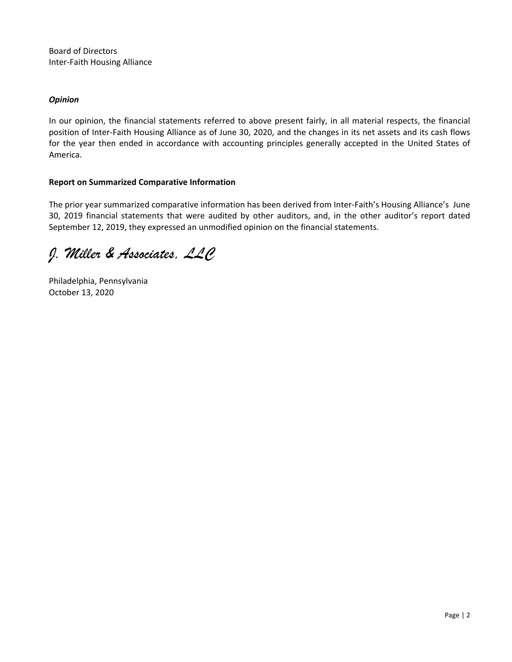Board of Directors Inter‐Faith Housing Alliance

### *Opinion*

In our opinion, the financial statements referred to above present fairly, in all material respects, the financial position of Inter‐Faith Housing Alliance as of June 30, 2020, and the changes in its net assets and its cash flows for the year then ended in accordance with accounting principles generally accepted in the United States of America.

## **Report on Summarized Comparative Information**

The prior year summarized comparative information has been derived from Inter‐Faith's Housing Alliance's June 30, 2019 financial statements that were audited by other auditors, and, in the other auditor's report dated September 12, 2019, they expressed an unmodified opinion on the financial statements.

*J. Miller & Associates, LLC* 

Philadelphia, Pennsylvania October 13, 2020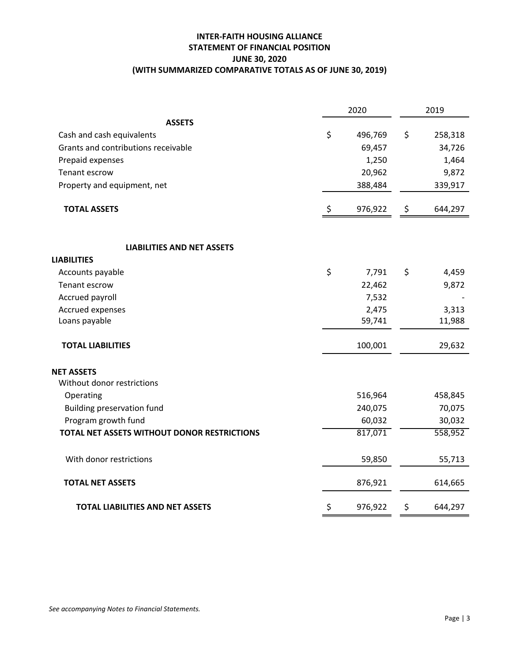## **INTER‐FAITH HOUSING ALLIANCE STATEMENT OF FINANCIAL POSITION JUNE 30, 2020 (WITH SUMMARIZED COMPARATIVE TOTALS AS OF JUNE 30, 2019)**

|                                             | 2020          |             | 2019    |
|---------------------------------------------|---------------|-------------|---------|
| <b>ASSETS</b>                               |               |             |         |
| Cash and cash equivalents                   | \$<br>496,769 | \$          | 258,318 |
| Grants and contributions receivable         | 69,457        |             | 34,726  |
| Prepaid expenses                            | 1,250         |             | 1,464   |
| Tenant escrow                               | 20,962        |             | 9,872   |
| Property and equipment, net                 | 388,484       |             | 339,917 |
| <b>TOTAL ASSETS</b>                         | \$<br>976,922 | \$          | 644,297 |
| <b>LIABILITIES AND NET ASSETS</b>           |               |             |         |
| <b>LIABILITIES</b>                          |               |             |         |
| Accounts payable                            | \$<br>7,791   | \$          | 4,459   |
| Tenant escrow                               | 22,462        |             | 9,872   |
| Accrued payroll                             | 7,532         |             |         |
| Accrued expenses                            | 2,475         |             | 3,313   |
| Loans payable                               | 59,741        |             | 11,988  |
| <b>TOTAL LIABILITIES</b>                    | 100,001       |             | 29,632  |
| <b>NET ASSETS</b>                           |               |             |         |
| Without donor restrictions                  |               |             |         |
| Operating                                   | 516,964       |             | 458,845 |
| <b>Building preservation fund</b>           | 240,075       |             | 70,075  |
| Program growth fund                         | 60,032        |             | 30,032  |
| TOTAL NET ASSETS WITHOUT DONOR RESTRICTIONS | 817,071       |             | 558,952 |
| With donor restrictions                     | 59,850        |             | 55,713  |
| <b>TOTAL NET ASSETS</b>                     | 876,921       |             | 614,665 |
| <b>TOTAL LIABILITIES AND NET ASSETS</b>     | \$<br>976,922 | $\varsigma$ | 644,297 |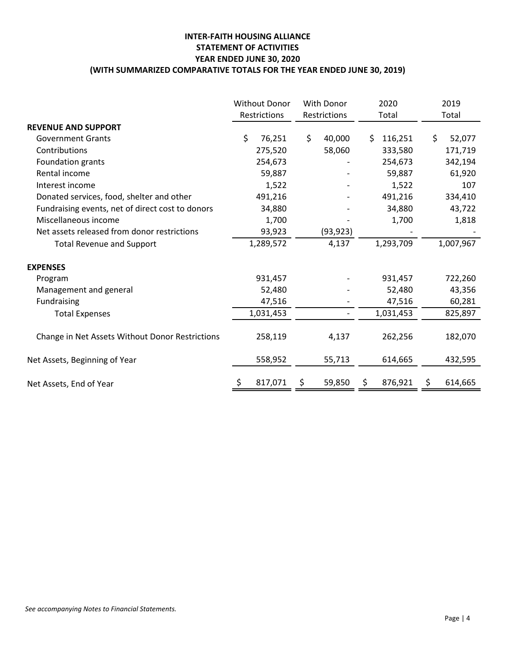## **INTER‐FAITH HOUSING ALLIANCE STATEMENT OF ACTIVITIES YEAR ENDED JUNE 30, 2020 (WITH SUMMARIZED COMPARATIVE TOTALS FOR THE YEAR ENDED JUNE 30, 2019)**

|                                                  | <b>Without Donor</b><br>Restrictions | With Donor<br>Restrictions |    | 2020<br>Total | 2019<br>Total |
|--------------------------------------------------|--------------------------------------|----------------------------|----|---------------|---------------|
| <b>REVENUE AND SUPPORT</b>                       |                                      |                            |    |               |               |
| <b>Government Grants</b>                         | \$<br>76,251                         | \$<br>40,000               | \$ | 116,251       | \$<br>52,077  |
| Contributions                                    | 275,520                              | 58,060                     |    | 333,580       | 171,719       |
| Foundation grants                                | 254,673                              |                            |    | 254,673       | 342,194       |
| Rental income                                    | 59,887                               |                            |    | 59,887        | 61,920        |
| Interest income                                  | 1,522                                |                            |    | 1,522         | 107           |
| Donated services, food, shelter and other        | 491,216                              |                            |    | 491,216       | 334,410       |
| Fundraising events, net of direct cost to donors | 34,880                               |                            |    | 34,880        | 43,722        |
| Miscellaneous income                             | 1,700                                |                            |    | 1,700         | 1,818         |
| Net assets released from donor restrictions      | 93,923                               | (93, 923)                  |    |               |               |
| <b>Total Revenue and Support</b>                 | 1,289,572                            | 4,137                      |    | 1,293,709     | 1,007,967     |
| <b>EXPENSES</b>                                  |                                      |                            |    |               |               |
| Program                                          | 931,457                              |                            |    | 931,457       | 722,260       |
| Management and general                           | 52,480                               |                            |    | 52,480        | 43,356        |
| Fundraising                                      | 47,516                               |                            |    | 47,516        | 60,281        |
| <b>Total Expenses</b>                            | 1,031,453                            |                            |    | 1,031,453     | 825,897       |
| Change in Net Assets Without Donor Restrictions  | 258,119                              | 4,137                      |    | 262,256       | 182,070       |
| Net Assets, Beginning of Year                    | 558,952                              | 55,713                     |    | 614,665       | 432,595       |
| Net Assets, End of Year                          | \$<br>817,071                        | 59,850                     | Ş  | 876,921       | \$<br>614,665 |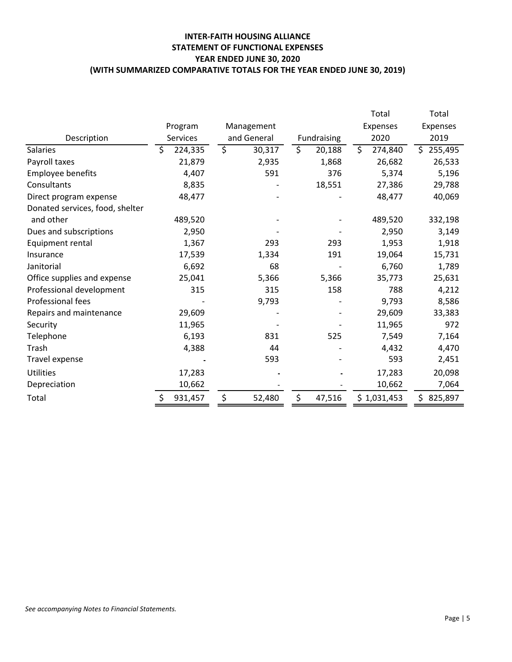## **INTER‐FAITH HOUSING ALLIANCE STATEMENT OF FUNCTIONAL EXPENSES YEAR ENDED JUNE 30, 2020 (WITH SUMMARIZED COMPARATIVE TOTALS FOR THE YEAR ENDED JUNE 30, 2019)**

|                                 |                 |              |                                   | Total           | Total         |
|---------------------------------|-----------------|--------------|-----------------------------------|-----------------|---------------|
|                                 | Program         | Management   |                                   | <b>Expenses</b> | Expenses      |
| Description                     | <b>Services</b> | and General  | Fundraising                       | 2020            | 2019          |
| <b>Salaries</b>                 | \$<br>224,335   | \$<br>30,317 | $\overline{\mathsf{S}}$<br>20,188 | \$<br>274,840   | Ś.<br>255,495 |
| Payroll taxes                   | 21,879          | 2,935        | 1,868                             | 26,682          | 26,533        |
| Employee benefits               | 4,407           | 591          | 376                               | 5,374           | 5,196         |
| Consultants                     | 8,835           |              | 18,551                            | 27,386          | 29,788        |
| Direct program expense          | 48,477          |              |                                   | 48,477          | 40,069        |
| Donated services, food, shelter |                 |              |                                   |                 |               |
| and other                       | 489,520         |              |                                   | 489,520         | 332,198       |
| Dues and subscriptions          | 2,950           |              |                                   | 2,950           | 3,149         |
| Equipment rental                | 1,367           | 293          | 293                               | 1,953           | 1,918         |
| Insurance                       | 17,539          | 1,334        | 191                               | 19,064          | 15,731        |
| Janitorial                      | 6,692           | 68           |                                   | 6,760           | 1,789         |
| Office supplies and expense     | 25,041          | 5,366        | 5,366                             | 35,773          | 25,631        |
| Professional development        | 315             | 315          | 158                               | 788             | 4,212         |
| <b>Professional fees</b>        |                 | 9,793        |                                   | 9,793           | 8,586         |
| Repairs and maintenance         | 29,609          |              |                                   | 29,609          | 33,383        |
| Security                        | 11,965          |              |                                   | 11,965          | 972           |
| Telephone                       | 6,193           | 831          | 525                               | 7,549           | 7,164         |
| Trash                           | 4,388           | 44           |                                   | 4,432           | 4,470         |
| Travel expense                  |                 | 593          |                                   | 593             | 2,451         |
| <b>Utilities</b>                | 17,283          |              |                                   | 17,283          | 20,098        |
| Depreciation                    | 10,662          |              |                                   | 10,662          | 7,064         |
| Total                           | 931,457         | \$<br>52,480 | \$<br>47,516                      | \$1,031,453     | 825,897<br>Ś. |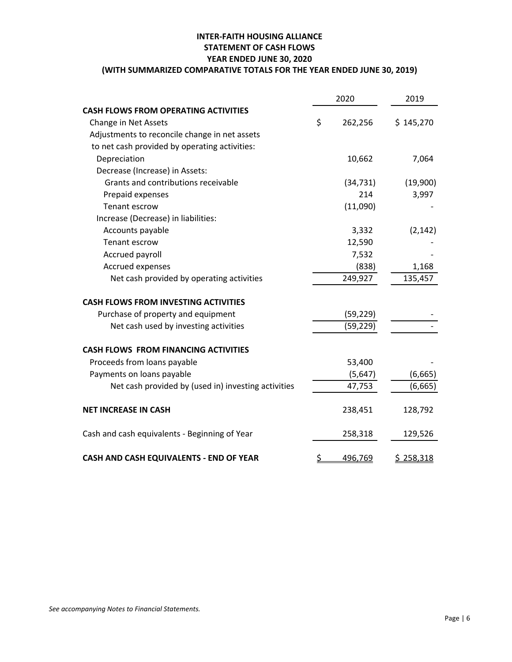# **INTER‐FAITH HOUSING ALLIANCE STATEMENT OF CASH FLOWS YEAR ENDED JUNE 30, 2020**

# **(WITH SUMMARIZED COMPARATIVE TOTALS FOR THE YEAR ENDED JUNE 30, 2019)**

|                                                     |    | 2020      | 2019      |
|-----------------------------------------------------|----|-----------|-----------|
| <b>CASH FLOWS FROM OPERATING ACTIVITIES</b>         |    |           |           |
| Change in Net Assets                                | \$ | 262,256   | \$145,270 |
| Adjustments to reconcile change in net assets       |    |           |           |
| to net cash provided by operating activities:       |    |           |           |
| Depreciation                                        |    | 10,662    | 7,064     |
| Decrease (Increase) in Assets:                      |    |           |           |
| Grants and contributions receivable                 |    | (34, 731) | (19,900)  |
| Prepaid expenses                                    |    | 214       | 3,997     |
| <b>Tenant escrow</b>                                |    | (11,090)  |           |
| Increase (Decrease) in liabilities:                 |    |           |           |
| Accounts payable                                    |    | 3,332     | (2, 142)  |
| Tenant escrow                                       |    | 12,590    |           |
| Accrued payroll                                     |    | 7,532     |           |
| Accrued expenses                                    |    | (838)     | 1,168     |
| Net cash provided by operating activities           |    | 249,927   | 135,457   |
| <b>CASH FLOWS FROM INVESTING ACTIVITIES</b>         |    |           |           |
| Purchase of property and equipment                  |    | (59, 229) |           |
| Net cash used by investing activities               |    | (59, 229) |           |
| <b>CASH FLOWS FROM FINANCING ACTIVITIES</b>         |    |           |           |
| Proceeds from loans payable                         |    | 53,400    |           |
| Payments on loans payable                           |    | (5,647)   | (6,665)   |
| Net cash provided by (used in) investing activities |    | 47,753    | (6, 665)  |
| <b>NET INCREASE IN CASH</b>                         |    | 238,451   | 128,792   |
| Cash and cash equivalents - Beginning of Year       |    | 258,318   | 129,526   |
| CASH AND CASH EQUIVALENTS - END OF YEAR             | S  | 496,769   | \$258,318 |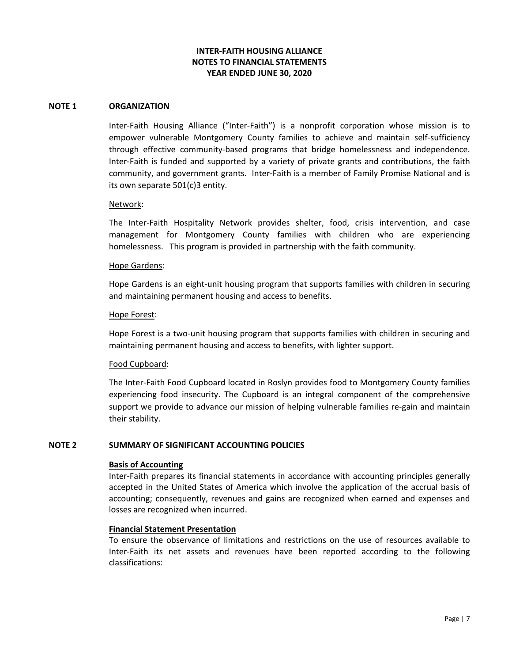#### **NOTE 1 ORGANIZATION**

Inter-Faith Housing Alliance ("Inter-Faith") is a nonprofit corporation whose mission is to empower vulnerable Montgomery County families to achieve and maintain self-sufficiency through effective community‐based programs that bridge homelessness and independence. Inter‐Faith is funded and supported by a variety of private grants and contributions, the faith community, and government grants. Inter‐Faith is a member of Family Promise National and is its own separate 501(c)3 entity.

#### Network:

The Inter‐Faith Hospitality Network provides shelter, food, crisis intervention, and case management for Montgomery County families with children who are experiencing homelessness. This program is provided in partnership with the faith community.

#### Hope Gardens:

Hope Gardens is an eight-unit housing program that supports families with children in securing and maintaining permanent housing and access to benefits.

#### Hope Forest:

Hope Forest is a two-unit housing program that supports families with children in securing and maintaining permanent housing and access to benefits, with lighter support.

#### Food Cupboard:

The Inter‐Faith Food Cupboard located in Roslyn provides food to Montgomery County families experiencing food insecurity. The Cupboard is an integral component of the comprehensive support we provide to advance our mission of helping vulnerable families re‐gain and maintain their stability.

#### **NOTE 2 SUMMARY OF SIGNIFICANT ACCOUNTING POLICIES**

#### **Basis of Accounting**

Inter‐Faith prepares its financial statements in accordance with accounting principles generally accepted in the United States of America which involve the application of the accrual basis of accounting; consequently, revenues and gains are recognized when earned and expenses and losses are recognized when incurred.

#### **Financial Statement Presentation**

To ensure the observance of limitations and restrictions on the use of resources available to Inter-Faith its net assets and revenues have been reported according to the following classifications: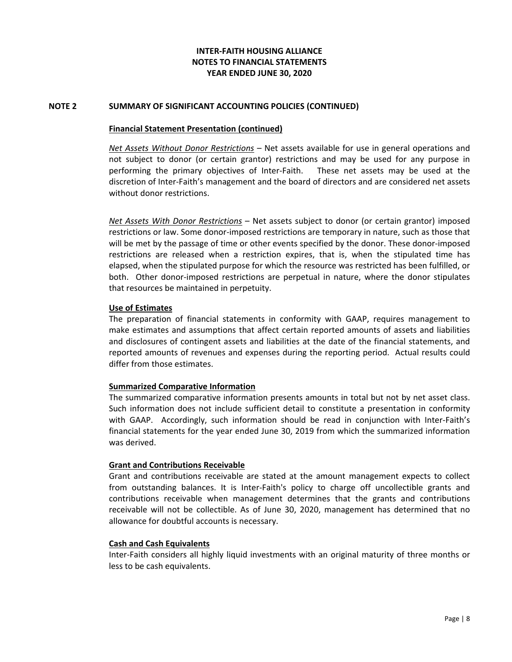### **NOTE 2 SUMMARY OF SIGNIFICANT ACCOUNTING POLICIES (CONTINUED)**

#### **Financial Statement Presentation (continued)**

 *Net Assets Without Donor Restrictions* – Net assets available for use in general operations and not subject to donor (or certain grantor) restrictions and may be used for any purpose in performing the primary objectives of Inter-Faith. These net assets may be used at the discretion of Inter‐Faith's management and the board of directors and are considered net assets without donor restrictions.

*Net Assets With Donor Restrictions* – Net assets subject to donor (or certain grantor) imposed restrictions or law. Some donor‐imposed restrictions are temporary in nature, such as those that will be met by the passage of time or other events specified by the donor. These donor-imposed restrictions are released when a restriction expires, that is, when the stipulated time has elapsed, when the stipulated purpose for which the resource was restricted has been fulfilled, or both. Other donor-imposed restrictions are perpetual in nature, where the donor stipulates that resources be maintained in perpetuity.

## **Use of Estimates**

The preparation of financial statements in conformity with GAAP, requires management to make estimates and assumptions that affect certain reported amounts of assets and liabilities and disclosures of contingent assets and liabilities at the date of the financial statements, and reported amounts of revenues and expenses during the reporting period. Actual results could differ from those estimates.

#### **Summarized Comparative Information**

 The summarized comparative information presents amounts in total but not by net asset class. Such information does not include sufficient detail to constitute a presentation in conformity with GAAP. Accordingly, such information should be read in conjunction with Inter-Faith's financial statements for the year ended June 30, 2019 from which the summarized information was derived.

#### **Grant and Contributions Receivable**

Grant and contributions receivable are stated at the amount management expects to collect from outstanding balances. It is Inter‐Faith's policy to charge off uncollectible grants and contributions receivable when management determines that the grants and contributions receivable will not be collectible. As of June 30, 2020, management has determined that no allowance for doubtful accounts is necessary.

#### **Cash and Cash Equivalents**

Inter‐Faith considers all highly liquid investments with an original maturity of three months or less to be cash equivalents.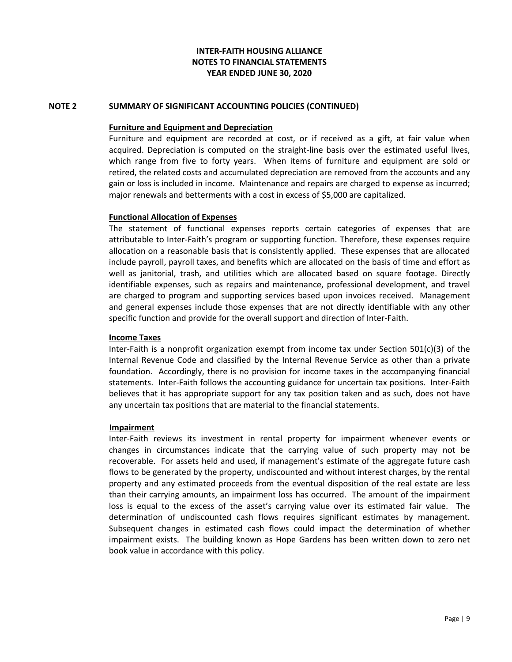### **NOTE 2 SUMMARY OF SIGNIFICANT ACCOUNTING POLICIES (CONTINUED)**

#### **Furniture and Equipment and Depreciation**

Furniture and equipment are recorded at cost, or if received as a gift, at fair value when acquired. Depreciation is computed on the straight‐line basis over the estimated useful lives, which range from five to forty years. When items of furniture and equipment are sold or retired, the related costs and accumulated depreciation are removed from the accounts and any gain or loss is included in income. Maintenance and repairs are charged to expense as incurred; major renewals and betterments with a cost in excess of \$5,000 are capitalized.

#### **Functional Allocation of Expenses**

The statement of functional expenses reports certain categories of expenses that are attributable to Inter‐Faith's program or supporting function. Therefore, these expenses require allocation on a reasonable basis that is consistently applied. These expenses that are allocated include payroll, payroll taxes, and benefits which are allocated on the basis of time and effort as well as janitorial, trash, and utilities which are allocated based on square footage. Directly identifiable expenses, such as repairs and maintenance, professional development, and travel are charged to program and supporting services based upon invoices received. Management and general expenses include those expenses that are not directly identifiable with any other specific function and provide for the overall support and direction of Inter‐Faith.

#### **Income Taxes**

Inter-Faith is a nonprofit organization exempt from income tax under Section 501(c)(3) of the Internal Revenue Code and classified by the Internal Revenue Service as other than a private foundation. Accordingly, there is no provision for income taxes in the accompanying financial statements. Inter‐Faith follows the accounting guidance for uncertain tax positions. Inter‐Faith believes that it has appropriate support for any tax position taken and as such, does not have any uncertain tax positions that are material to the financial statements.

#### **Impairment**

 Inter‐Faith reviews its investment in rental property for impairment whenever events or changes in circumstances indicate that the carrying value of such property may not be recoverable. For assets held and used, if management's estimate of the aggregate future cash flows to be generated by the property, undiscounted and without interest charges, by the rental property and any estimated proceeds from the eventual disposition of the real estate are less than their carrying amounts, an impairment loss has occurred. The amount of the impairment loss is equal to the excess of the asset's carrying value over its estimated fair value. The determination of undiscounted cash flows requires significant estimates by management. Subsequent changes in estimated cash flows could impact the determination of whether impairment exists. The building known as Hope Gardens has been written down to zero net book value in accordance with this policy.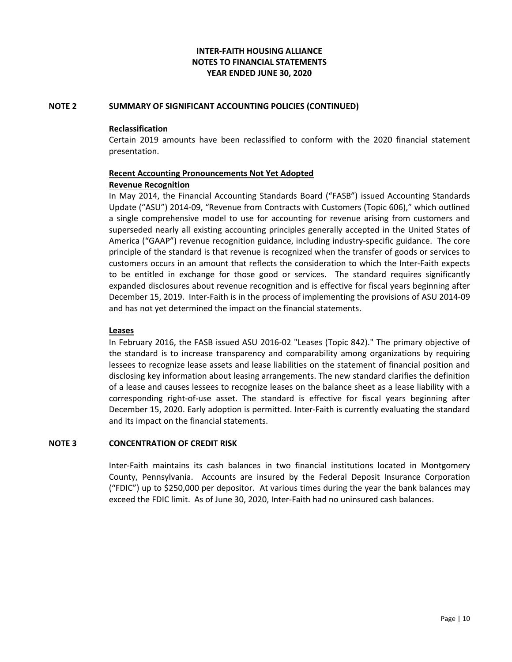## **NOTE 2 SUMMARY OF SIGNIFICANT ACCOUNTING POLICIES (CONTINUED)**

### **Reclassification**

 Certain 2019 amounts have been reclassified to conform with the 2020 financial statement presentation.

## **Recent Accounting Pronouncements Not Yet Adopted Revenue Recognition**

 In May 2014, the Financial Accounting Standards Board ("FASB") issued Accounting Standards Update ("ASU") 2014‐09, "Revenue from Contracts with Customers (Topic 606)," which outlined a single comprehensive model to use for accounting for revenue arising from customers and superseded nearly all existing accounting principles generally accepted in the United States of America ("GAAP") revenue recognition guidance, including industry‐specific guidance. The core principle of the standard is that revenue is recognized when the transfer of goods or services to customers occurs in an amount that reflects the consideration to which the Inter‐Faith expects to be entitled in exchange for those good or services. The standard requires significantly expanded disclosures about revenue recognition and is effective for fiscal years beginning after December 15, 2019. Inter‐Faith is in the process of implementing the provisions of ASU 2014‐09 and has not yet determined the impact on the financial statements.

### **Leases**

In February 2016, the FASB issued ASU 2016‐02 "Leases (Topic 842)." The primary objective of the standard is to increase transparency and comparability among organizations by requiring lessees to recognize lease assets and lease liabilities on the statement of financial position and disclosing key information about leasing arrangements. The new standard clarifies the definition of a lease and causes lessees to recognize leases on the balance sheet as a lease liability with a corresponding right‐of‐use asset. The standard is effective for fiscal years beginning after December 15, 2020. Early adoption is permitted. Inter‐Faith is currently evaluating the standard and its impact on the financial statements.

#### **NOTE 3 CONCENTRATION OF CREDIT RISK**

Inter‐Faith maintains its cash balances in two financial institutions located in Montgomery County, Pennsylvania. Accounts are insured by the Federal Deposit Insurance Corporation ("FDIC") up to \$250,000 per depositor. At various times during the year the bank balances may exceed the FDIC limit. As of June 30, 2020, Inter‐Faith had no uninsured cash balances.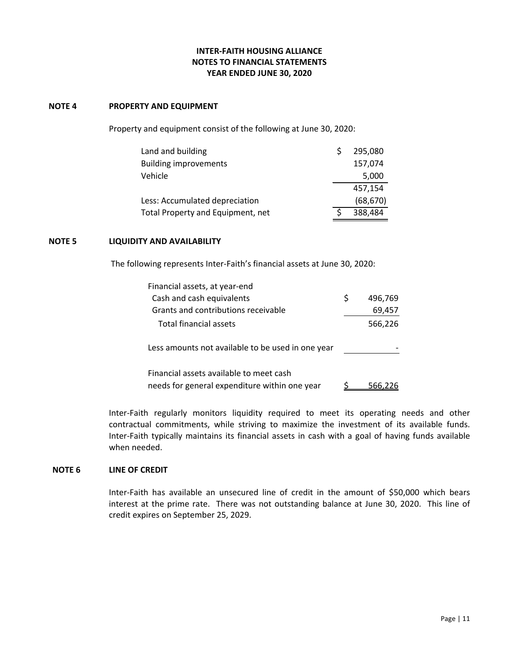#### **NOTE 4 PROPERTY AND EQUIPMENT**

Property and equipment consist of the following at June 30, 2020:

| Land and building                 | 295,080   |
|-----------------------------------|-----------|
| <b>Building improvements</b>      | 157,074   |
| Vehicle                           | 5,000     |
|                                   | 457,154   |
| Less: Accumulated depreciation    | (68, 670) |
| Total Property and Equipment, net | 388.484   |

### **NOTE 5 LIQUIDITY AND AVAILABILITY**

The following represents Inter‐Faith's financial assets at June 30, 2020:

| Financial assets, at year-end                                                            |   |         |
|------------------------------------------------------------------------------------------|---|---------|
| Cash and cash equivalents                                                                | Ś | 496,769 |
| Grants and contributions receivable                                                      |   | 69,457  |
| Total financial assets                                                                   |   | 566,226 |
| Less amounts not available to be used in one year                                        |   |         |
| Financial assets available to meet cash<br>needs for general expenditure within one year |   |         |

Inter‐Faith regularly monitors liquidity required to meet its operating needs and other contractual commitments, while striving to maximize the investment of its available funds. Inter‐Faith typically maintains its financial assets in cash with a goal of having funds available when needed.

### **NOTE 6 LINE OF CREDIT**

Inter‐Faith has available an unsecured line of credit in the amount of \$50,000 which bears interest at the prime rate. There was not outstanding balance at June 30, 2020. This line of credit expires on September 25, 2029.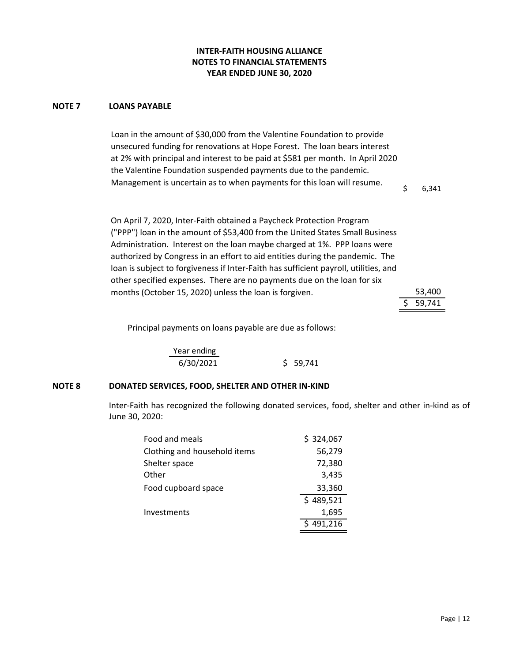#### **NOTE 7 LOANS PAYABLE**

Loan in the amount of \$30,000 from the Valentine Foundation to provide unsecured funding for renovations at Hope Forest. The loan bears interest at 2% with principal and interest to be paid at \$581 per month.In April 2020 the Valentine Foundation suspended payments due to the pandemic. Management is uncertain as to when payments for this loan will resume.

 $$ 6,341$ 

On April 7, 2020, Inter‐Faith obtained a Paycheck Protection Program ("PPP") loan in the amount of \$53,400 from the United States Small Business Administration. Interest on the loan maybe charged at 1%. PPP loans were authorized by Congress in an effort to aid entities during the pandemic. The loan is subject to forgiveness if Inter‐Faith has sufficient payroll, utilities, and other specified expenses. There are no payments due on the loan for six months (October 15, 2020) unless the loan is forgiven.

| 53,400 |
|--------|
| 59,741 |

Principal payments on loans payable are due as follows:

Year ending 6/30/2021 \$ 59,741

## **NOTE 8 DONATED SERVICES, FOOD, SHELTER AND OTHER IN‐KIND**

Inter‐Faith has recognized the following donated services, food, shelter and other in‐kind as of June 30, 2020:

| Food and meals               | \$324,067 |
|------------------------------|-----------|
| Clothing and household items | 56,279    |
| Shelter space                | 72,380    |
| Other                        | 3,435     |
| Food cupboard space          | 33,360    |
|                              | \$489,521 |
| Investments                  | 1,695     |
|                              | 491,216   |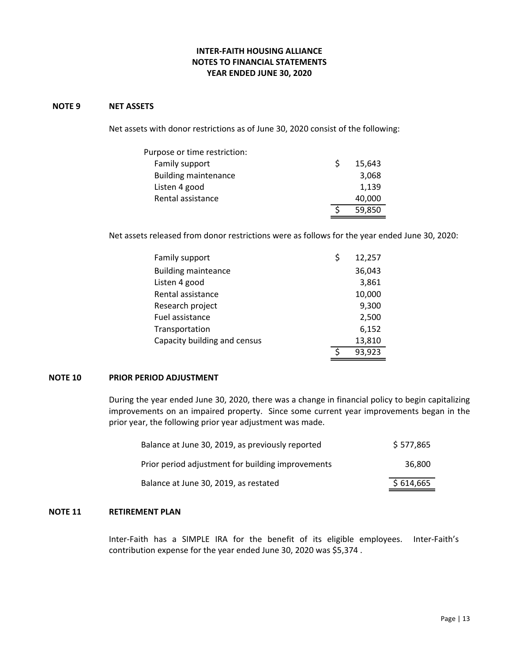#### **NOTE 9 NET ASSETS**

Net assets with donor restrictions as of June 30, 2020 consist of the following:

| Purpose or time restriction: |        |
|------------------------------|--------|
| Family support               | 15,643 |
| <b>Building maintenance</b>  | 3,068  |
| Listen 4 good                | 1,139  |
| Rental assistance            | 40,000 |
|                              | 59,850 |

Net assets released from donor restrictions were as follows for the year ended June 30, 2020:

| Family support               | \$ | 12,257 |
|------------------------------|----|--------|
| <b>Building mainteance</b>   |    | 36,043 |
| Listen 4 good                |    | 3,861  |
| Rental assistance            |    | 10,000 |
| Research project             |    | 9,300  |
| Fuel assistance              |    | 2,500  |
| Transportation               |    | 6,152  |
| Capacity building and census |    | 13,810 |
|                              | <  | 93,923 |

### **NOTE 10 PRIOR PERIOD ADJUSTMENT**

During the year ended June 30, 2020, there was a change in financial policy to begin capitalizing improvements on an impaired property. Since some current year improvements began in the prior year, the following prior year adjustment was made.

| Balance at June 30, 2019, as previously reported  | \$577,865 |
|---------------------------------------------------|-----------|
| Prior period adjustment for building improvements | 36.800    |
| Balance at June 30, 2019, as restated             | \$614,665 |

## **NOTE 11 RETIREMENT PLAN**

Inter-Faith has a SIMPLE IRA for the benefit of its eligible employees. Inter-Faith's contribution expense for the year ended June 30, 2020 was \$5,374 .